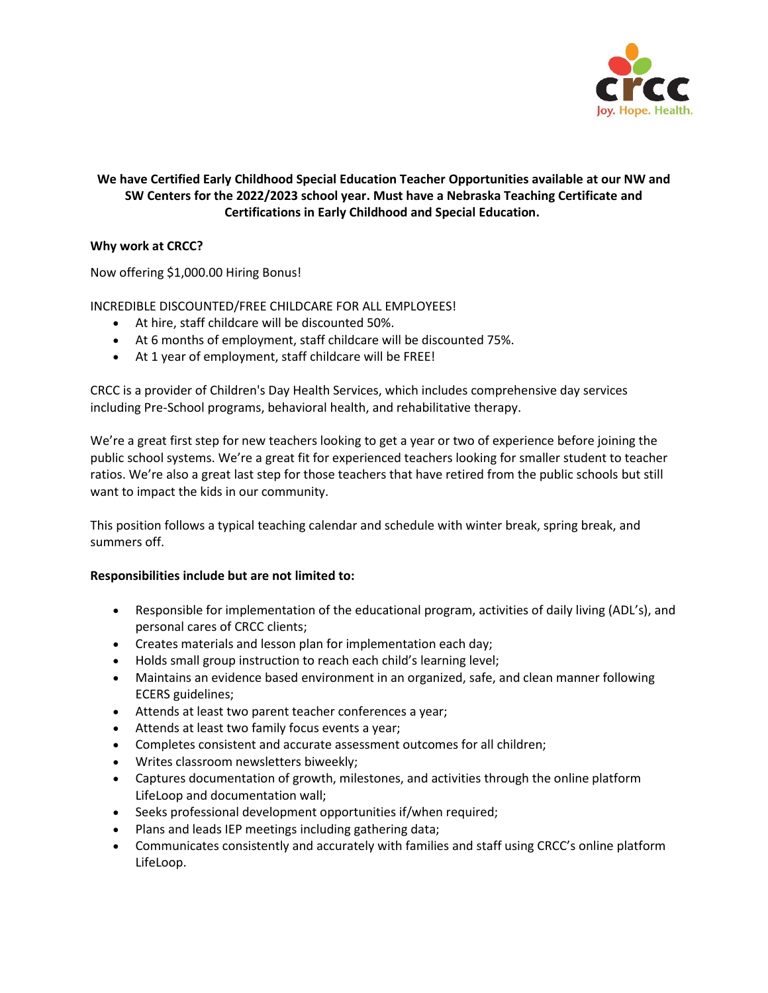

# **We have Certified Early Childhood Special Education Teacher Opportunities available at our NW and SW Centers for the 2022/2023 school year. Must have a Nebraska Teaching Certificate and Certifications in Early Childhood and Special Education.**

## **Why work at CRCC?**

Now offering \$1,000.00 Hiring Bonus!

## INCREDIBLE DISCOUNTED/FREE CHILDCARE FOR ALL EMPLOYEES!

- At hire, staff childcare will be discounted 50%.
- At 6 months of employment, staff childcare will be discounted 75%.
- At 1 year of employment, staff childcare will be FREE!

CRCC is a provider of Children's Day Health Services, which includes comprehensive day services including Pre-School programs, behavioral health, and rehabilitative therapy.

We're a great first step for new teachers looking to get a year or two of experience before joining the public school systems. We're a great fit for experienced teachers looking for smaller student to teacher ratios. We're also a great last step for those teachers that have retired from the public schools but still want to impact the kids in our community.

This position follows a typical teaching calendar and schedule with winter break, spring break, and summers off.

### **Responsibilities include but are not limited to:**

- Responsible for implementation of the educational program, activities of daily living (ADL's), and personal cares of CRCC clients;
- Creates materials and lesson plan for implementation each day;
- Holds small group instruction to reach each child's learning level;
- Maintains an evidence based environment in an organized, safe, and clean manner following ECERS guidelines;
- Attends at least two parent teacher conferences a year;
- Attends at least two family focus events a year;
- Completes consistent and accurate assessment outcomes for all children;
- Writes classroom newsletters biweekly;
- Captures documentation of growth, milestones, and activities through the online platform LifeLoop and documentation wall;
- Seeks professional development opportunities if/when required;
- Plans and leads IEP meetings including gathering data;
- Communicates consistently and accurately with families and staff using CRCC's online platform LifeLoop.